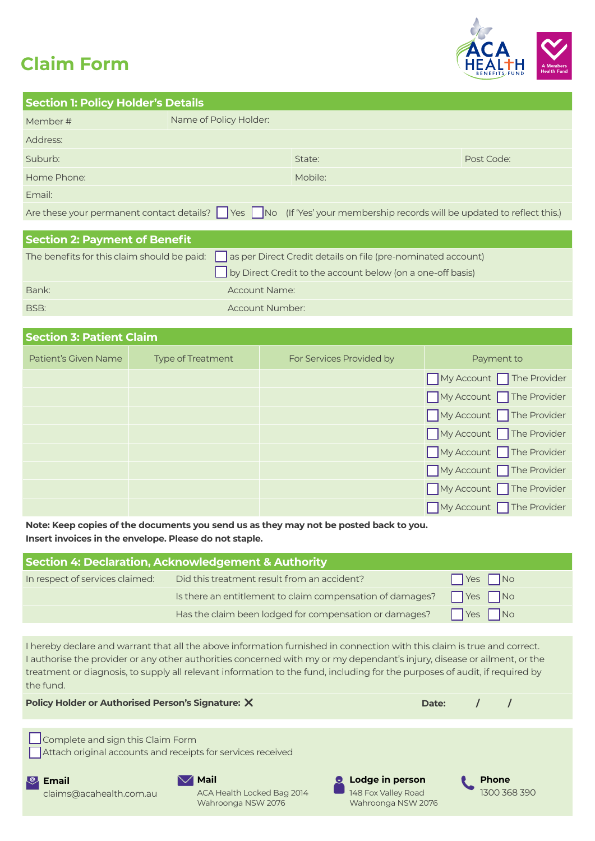# **Claim Form**



| <b>Section 1: Policy Holder's Details</b> |                                                                                                            |                                                                                                                      |            |
|-------------------------------------------|------------------------------------------------------------------------------------------------------------|----------------------------------------------------------------------------------------------------------------------|------------|
| Member#                                   | Name of Policy Holder:                                                                                     |                                                                                                                      |            |
| Address:                                  |                                                                                                            |                                                                                                                      |            |
| Suburb:                                   |                                                                                                            | State:                                                                                                               | Post Code: |
| Home Phone:                               |                                                                                                            | Mobile:                                                                                                              |            |
| Email:                                    |                                                                                                            |                                                                                                                      |            |
|                                           |                                                                                                            | Are these your permanent contact details? Nes No (If 'Yes' your membership records will be updated to reflect this.) |            |
|                                           |                                                                                                            |                                                                                                                      |            |
| <b>Section 2: Payment of Benefit</b>      |                                                                                                            |                                                                                                                      |            |
|                                           | The benefits for this claim should be paid:   as per Direct Credit details on file (pre-nominated account) |                                                                                                                      |            |
|                                           |                                                                                                            | by Direct Credit to the account below (on a one-off basis)                                                           |            |

| Bank: | Account Name:   |
|-------|-----------------|
| BSB:  | Account Number: |

| <b>Section 3: Patient Claim</b> |                          |                          |                         |
|---------------------------------|--------------------------|--------------------------|-------------------------|
| Patient's Given Name            | <b>Type of Treatment</b> | For Services Provided by | Payment to              |
|                                 |                          |                          | My Account The Provider |
|                                 |                          |                          | My Account The Provider |
|                                 |                          |                          | My Account The Provider |
|                                 |                          |                          | My Account The Provider |
|                                 |                          |                          | My Account The Provider |
|                                 |                          |                          | My Account The Provider |
|                                 |                          |                          | My Account The Provider |
|                                 |                          |                          | My Account The Provider |

**Note: Keep copies of the documents you send us as they may not be posted back to you. Insert invoices in the envelope. Please do not staple.**

| Section 4: Declaration, Acknowledgement & Authority |                                                           |                            |  |
|-----------------------------------------------------|-----------------------------------------------------------|----------------------------|--|
| In respect of services claimed:                     | Did this treatment result from an accident?               | $\Box$ Yes $\Box$ No       |  |
|                                                     | Is there an entitlement to claim compensation of damages? | $\bigcap$ Yes $\bigcap$ No |  |
|                                                     | Has the claim been lodged for compensation or damages?    | $\Box$ Yes $\Box$ No       |  |

I hereby declare and warrant that all the above information furnished in connection with this claim is true and correct. I authorise the provider or any other authorities concerned with my or my dependant's injury, disease or ailment, or the treatment or diagnosis, to supply all relevant information to the fund, including for the purposes of audit, if required by the fund.

| Policy Holder or Authorised Person's Signature: X                                                | Date: |  |
|--------------------------------------------------------------------------------------------------|-------|--|
| Complete and sign this Claim Form<br>Attach original accounts and receipts for services received |       |  |

**Email**

claims@acahealth.com.au

**Mail**

ACA Health Locked Bag 2014 Wahroonga NSW 2076

**Lodge in person**  148 Fox Valley Road Wahroonga NSW 2076 **Phone** 1300 368 390